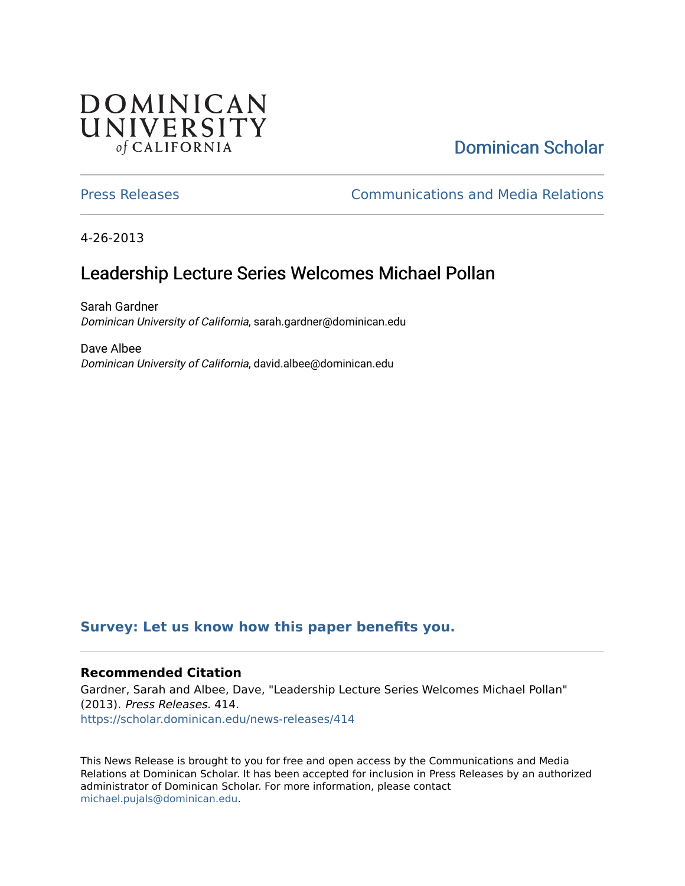# DOMINICAN UNIVERSITY of CALIFORNIA

# [Dominican Scholar](https://scholar.dominican.edu/)

[Press Releases](https://scholar.dominican.edu/news-releases) [Communications and Media Relations](https://scholar.dominican.edu/communications-media) 

4-26-2013

# Leadership Lecture Series Welcomes Michael Pollan

Sarah Gardner Dominican University of California, sarah.gardner@dominican.edu

Dave Albee Dominican University of California, david.albee@dominican.edu

#### **[Survey: Let us know how this paper benefits you.](https://dominican.libwizard.com/dominican-scholar-feedback)**

#### **Recommended Citation**

Gardner, Sarah and Albee, Dave, "Leadership Lecture Series Welcomes Michael Pollan" (2013). Press Releases. 414. [https://scholar.dominican.edu/news-releases/414](https://scholar.dominican.edu/news-releases/414?utm_source=scholar.dominican.edu%2Fnews-releases%2F414&utm_medium=PDF&utm_campaign=PDFCoverPages)

This News Release is brought to you for free and open access by the Communications and Media Relations at Dominican Scholar. It has been accepted for inclusion in Press Releases by an authorized administrator of Dominican Scholar. For more information, please contact [michael.pujals@dominican.edu.](mailto:michael.pujals@dominican.edu)